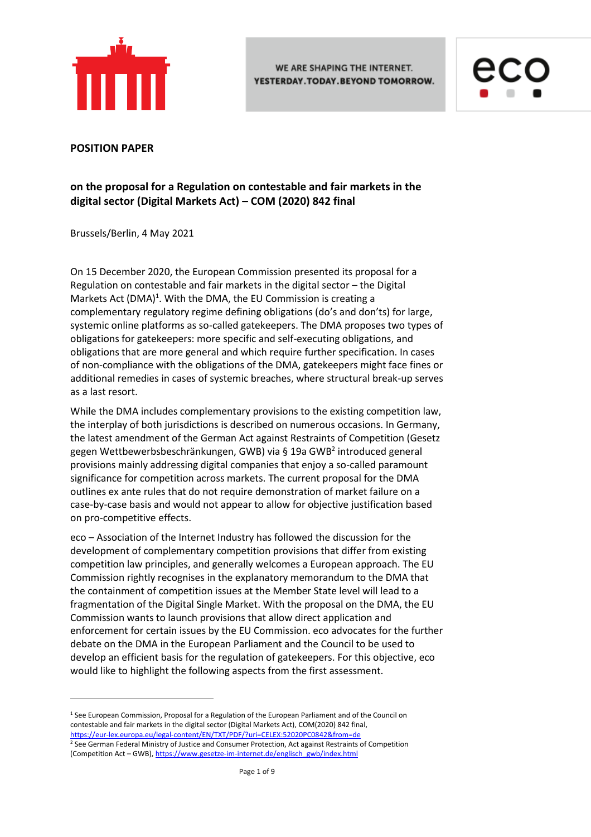



#### **POSITION PAPER**

1

# **on the proposal for a Regulation on contestable and fair markets in the digital sector (Digital Markets Act) – COM (2020) 842 final**

Brussels/Berlin, 4 May 2021

On 15 December 2020, the European Commission presented its proposal for a Regulation on contestable and fair markets in the digital sector – the Digital Markets Act  $(DMA)^1$ . With the DMA, the EU Commission is creating a complementary regulatory regime defining obligations (do's and don'ts) for large, systemic online platforms as so-called gatekeepers. The DMA proposes two types of obligations for gatekeepers: more specific and self-executing obligations, and obligations that are more general and which require further specification. In cases of non-compliance with the obligations of the DMA, gatekeepers might face fines or additional remedies in cases of systemic breaches, where structural break-up serves as a last resort.

While the DMA includes complementary provisions to the existing competition law, the interplay of both jurisdictions is described on numerous occasions. In Germany, the latest amendment of the German Act against Restraints of Competition (Gesetz gegen Wettbewerbsbeschränkungen, GWB) via § 19a GWB<sup>2</sup> introduced general provisions mainly addressing digital companies that enjoy a so-called paramount significance for competition across markets. The current proposal for the DMA outlines ex ante rules that do not require demonstration of market failure on a case-by-case basis and would not appear to allow for objective justification based on pro-competitive effects.

eco – Association of the Internet Industry has followed the discussion for the development of complementary competition provisions that differ from existing competition law principles, and generally welcomes a European approach. The EU Commission rightly recognises in the explanatory memorandum to the DMA that the containment of competition issues at the Member State level will lead to a fragmentation of the Digital Single Market. With the proposal on the DMA, the EU Commission wants to launch provisions that allow direct application and enforcement for certain issues by the EU Commission. eco advocates for the further debate on the DMA in the European Parliament and the Council to be used to develop an efficient basis for the regulation of gatekeepers. For this objective, eco would like to highlight the following aspects from the first assessment.

 $1$  See European Commission, Proposal for a Regulation of the European Parliament and of the Council on contestable and fair markets in the digital sector (Digital Markets Act), COM(2020) 842 final, <https://eur-lex.europa.eu/legal-content/EN/TXT/PDF/?uri=CELEX:52020PC0842&from=de>

<sup>&</sup>lt;sup>2</sup> See German Federal Ministry of Justice and Consumer Protection, Act against Restraints of Competition (Competition Act – GWB)[, https://www.gesetze-im-internet.de/englisch\\_gwb/index.html](https://www.gesetze-im-internet.de/englisch_gwb/index.html)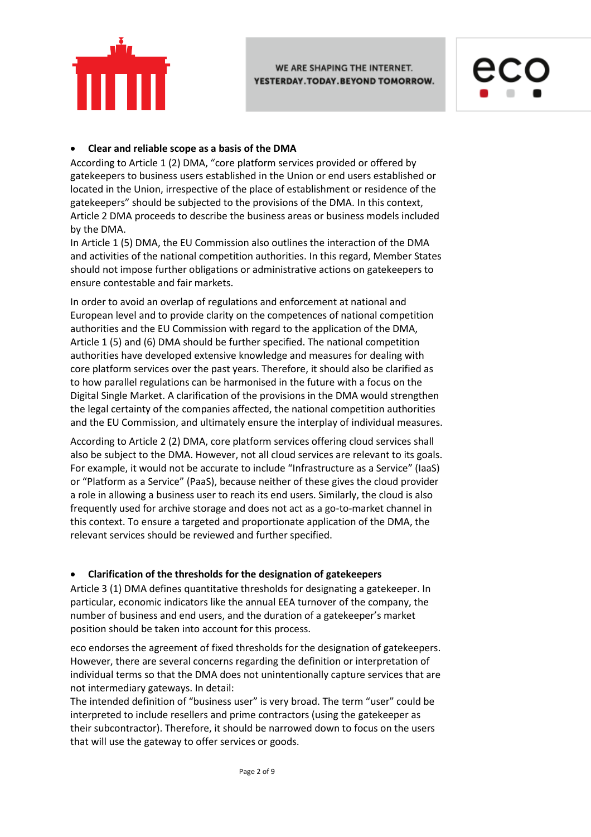



## **Clear and reliable scope as a basis of the DMA**

According to Article 1 (2) DMA, "core platform services provided or offered by gatekeepers to business users established in the Union or end users established or located in the Union, irrespective of the place of establishment or residence of the gatekeepers" should be subjected to the provisions of the DMA. In this context, Article 2 DMA proceeds to describe the business areas or business models included by the DMA.

In Article 1 (5) DMA, the EU Commission also outlines the interaction of the DMA and activities of the national competition authorities. In this regard, Member States should not impose further obligations or administrative actions on gatekeepers to ensure contestable and fair markets.

In order to avoid an overlap of regulations and enforcement at national and European level and to provide clarity on the competences of national competition authorities and the EU Commission with regard to the application of the DMA, Article 1 (5) and (6) DMA should be further specified. The national competition authorities have developed extensive knowledge and measures for dealing with core platform services over the past years. Therefore, it should also be clarified as to how parallel regulations can be harmonised in the future with a focus on the Digital Single Market. A clarification of the provisions in the DMA would strengthen the legal certainty of the companies affected, the national competition authorities and the EU Commission, and ultimately ensure the interplay of individual measures.

According to Article 2 (2) DMA, core platform services offering cloud services shall also be subject to the DMA. However, not all cloud services are relevant to its goals. For example, it would not be accurate to include "Infrastructure as a Service" (IaaS) or "Platform as a Service" (PaaS), because neither of these gives the cloud provider a role in allowing a business user to reach its end users. Similarly, the cloud is also frequently used for archive storage and does not act as a go-to-market channel in this context. To ensure a targeted and proportionate application of the DMA, the relevant services should be reviewed and further specified.

## **Clarification of the thresholds for the designation of gatekeepers**

Article 3 (1) DMA defines quantitative thresholds for designating a gatekeeper. In particular, economic indicators like the annual EEA turnover of the company, the number of business and end users, and the duration of a gatekeeper's market position should be taken into account for this process.

eco endorses the agreement of fixed thresholds for the designation of gatekeepers. However, there are several concerns regarding the definition or interpretation of individual terms so that the DMA does not unintentionally capture services that are not intermediary gateways. In detail:

The intended definition of "business user" is very broad. The term "user" could be interpreted to include resellers and prime contractors (using the gatekeeper as their subcontractor). Therefore, it should be narrowed down to focus on the users that will use the gateway to offer services or goods.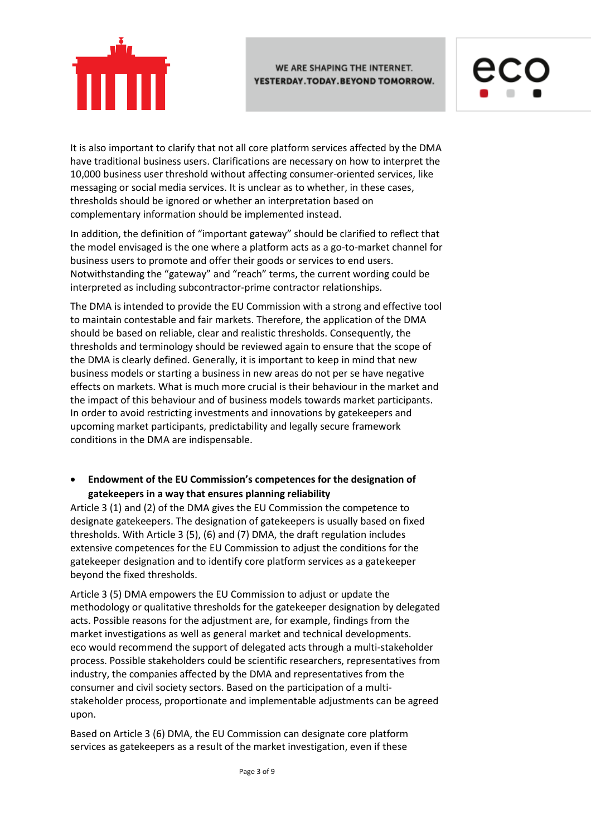



It is also important to clarify that not all core platform services affected by the DMA have traditional business users. Clarifications are necessary on how to interpret the 10,000 business user threshold without affecting consumer-oriented services, like messaging or social media services. It is unclear as to whether, in these cases, thresholds should be ignored or whether an interpretation based on complementary information should be implemented instead.

In addition, the definition of "important gateway" should be clarified to reflect that the model envisaged is the one where a platform acts as a go-to-market channel for business users to promote and offer their goods or services to end users. Notwithstanding the "gateway" and "reach" terms, the current wording could be interpreted as including subcontractor-prime contractor relationships.

The DMA is intended to provide the EU Commission with a strong and effective tool to maintain contestable and fair markets. Therefore, the application of the DMA should be based on reliable, clear and realistic thresholds. Consequently, the thresholds and terminology should be reviewed again to ensure that the scope of the DMA is clearly defined. Generally, it is important to keep in mind that new business models or starting a business in new areas do not per se have negative effects on markets. What is much more crucial is their behaviour in the market and the impact of this behaviour and of business models towards market participants. In order to avoid restricting investments and innovations by gatekeepers and upcoming market participants, predictability and legally secure framework conditions in the DMA are indispensable.

## **Endowment of the EU Commission's competences for the designation of gatekeepers in a way that ensures planning reliability**

Article 3 (1) and (2) of the DMA gives the EU Commission the competence to designate gatekeepers. The designation of gatekeepers is usually based on fixed thresholds. With Article 3 (5), (6) and (7) DMA, the draft regulation includes extensive competences for the EU Commission to adjust the conditions for the gatekeeper designation and to identify core platform services as a gatekeeper beyond the fixed thresholds.

Article 3 (5) DMA empowers the EU Commission to adjust or update the methodology or qualitative thresholds for the gatekeeper designation by delegated acts. Possible reasons for the adjustment are, for example, findings from the market investigations as well as general market and technical developments. eco would recommend the support of delegated acts through a multi-stakeholder process. Possible stakeholders could be scientific researchers, representatives from industry, the companies affected by the DMA and representatives from the consumer and civil society sectors. Based on the participation of a multistakeholder process, proportionate and implementable adjustments can be agreed upon.

Based on Article 3 (6) DMA, the EU Commission can designate core platform services as gatekeepers as a result of the market investigation, even if these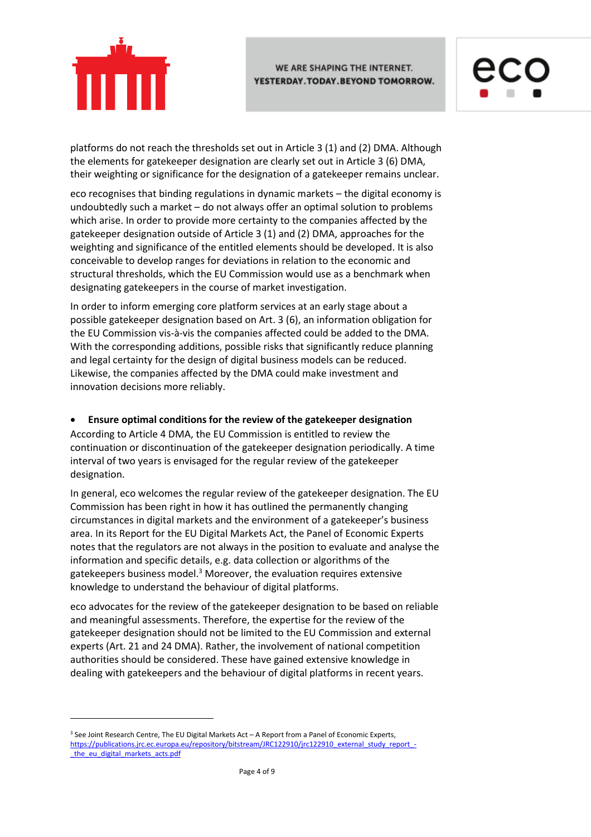



platforms do not reach the thresholds set out in Article 3 (1) and (2) DMA. Although the elements for gatekeeper designation are clearly set out in Article 3 (6) DMA, their weighting or significance for the designation of a gatekeeper remains unclear.

eco recognises that binding regulations in dynamic markets – the digital economy is undoubtedly such a market – do not always offer an optimal solution to problems which arise. In order to provide more certainty to the companies affected by the gatekeeper designation outside of Article 3 (1) and (2) DMA, approaches for the weighting and significance of the entitled elements should be developed. It is also conceivable to develop ranges for deviations in relation to the economic and structural thresholds, which the EU Commission would use as a benchmark when designating gatekeepers in the course of market investigation.

In order to inform emerging core platform services at an early stage about a possible gatekeeper designation based on Art. 3 (6), an information obligation for the EU Commission vis-à-vis the companies affected could be added to the DMA. With the corresponding additions, possible risks that significantly reduce planning and legal certainty for the design of digital business models can be reduced. Likewise, the companies affected by the DMA could make investment and innovation decisions more reliably.

## **Ensure optimal conditions for the review of the gatekeeper designation**

According to Article 4 DMA, the EU Commission is entitled to review the continuation or discontinuation of the gatekeeper designation periodically. A time interval of two years is envisaged for the regular review of the gatekeeper designation.

In general, eco welcomes the regular review of the gatekeeper designation. The EU Commission has been right in how it has outlined the permanently changing circumstances in digital markets and the environment of a gatekeeper's business area. In its Report for the EU Digital Markets Act, the Panel of Economic Experts notes that the regulators are not always in the position to evaluate and analyse the information and specific details, e.g. data collection or algorithms of the gatekeepers business model.<sup>3</sup> Moreover, the evaluation requires extensive knowledge to understand the behaviour of digital platforms.

eco advocates for the review of the gatekeeper designation to be based on reliable and meaningful assessments. Therefore, the expertise for the review of the gatekeeper designation should not be limited to the EU Commission and external experts (Art. 21 and 24 DMA). Rather, the involvement of national competition authorities should be considered. These have gained extensive knowledge in dealing with gatekeepers and the behaviour of digital platforms in recent years.

1

<sup>&</sup>lt;sup>3</sup> See Joint Research Centre, The EU Digital Markets Act - A Report from a Panel of Economic Experts, [https://publications.jrc.ec.europa.eu/repository/bitstream/JRC122910/jrc122910\\_external\\_study\\_report\\_](https://publications.jrc.ec.europa.eu/repository/bitstream/JRC122910/jrc122910_external_study_report_-_the_eu_digital_markets_acts.pdf) the eu digital markets acts.pdf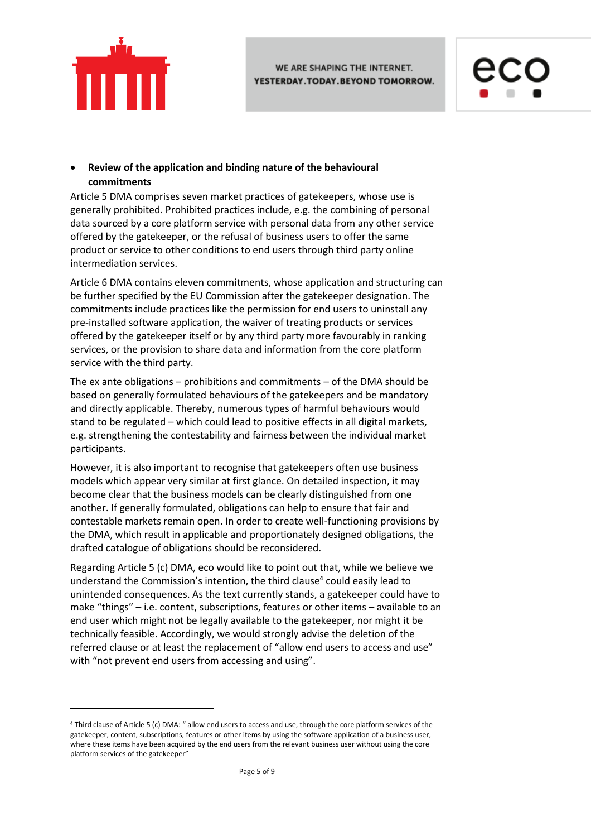

 $\ddot{\phantom{a}}$ 



## **Review of the application and binding nature of the behavioural commitments**

Article 5 DMA comprises seven market practices of gatekeepers, whose use is generally prohibited. Prohibited practices include, e.g. the combining of personal data sourced by a core platform service with personal data from any other service offered by the gatekeeper, or the refusal of business users to offer the same product or service to other conditions to end users through third party online intermediation services.

Article 6 DMA contains eleven commitments, whose application and structuring can be further specified by the EU Commission after the gatekeeper designation. The commitments include practices like the permission for end users to uninstall any pre-installed software application, the waiver of treating products or services offered by the gatekeeper itself or by any third party more favourably in ranking services, or the provision to share data and information from the core platform service with the third party.

The ex ante obligations – prohibitions and commitments – of the DMA should be based on generally formulated behaviours of the gatekeepers and be mandatory and directly applicable. Thereby, numerous types of harmful behaviours would stand to be regulated – which could lead to positive effects in all digital markets, e.g. strengthening the contestability and fairness between the individual market participants.

However, it is also important to recognise that gatekeepers often use business models which appear very similar at first glance. On detailed inspection, it may become clear that the business models can be clearly distinguished from one another. If generally formulated, obligations can help to ensure that fair and contestable markets remain open. In order to create well-functioning provisions by the DMA, which result in applicable and proportionately designed obligations, the drafted catalogue of obligations should be reconsidered.

Regarding Article 5 (c) DMA, eco would like to point out that, while we believe we understand the Commission's intention, the third clause<sup>4</sup> could easily lead to unintended consequences. As the text currently stands, a gatekeeper could have to make "things" – i.e. content, subscriptions, features or other items – available to an end user which might not be legally available to the gatekeeper, nor might it be technically feasible. Accordingly, we would strongly advise the deletion of the referred clause or at least the replacement of "allow end users to access and use" with "not prevent end users from accessing and using".

<sup>4</sup> Third clause of Article 5 (c) DMA: " allow end users to access and use, through the core platform services of the gatekeeper, content, subscriptions, features or other items by using the software application of a business user, where these items have been acquired by the end users from the relevant business user without using the core platform services of the gatekeeper"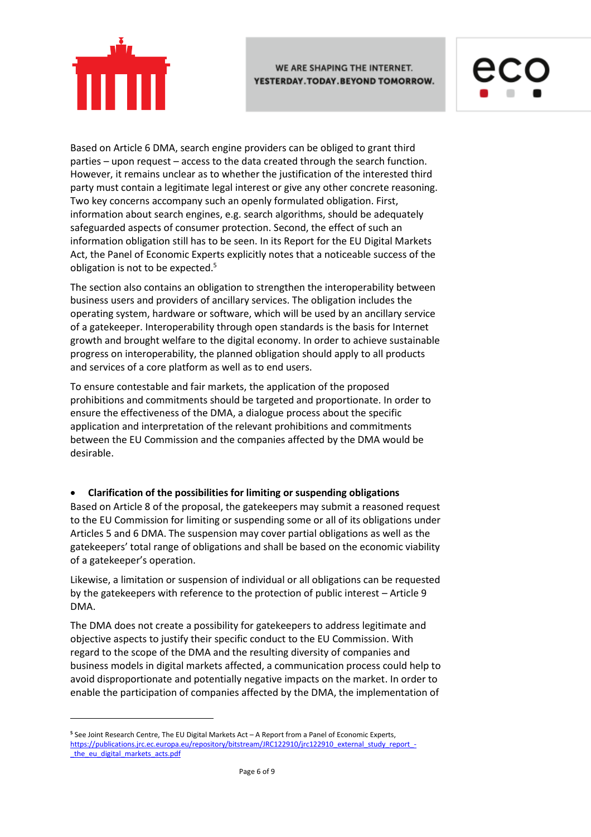

Based on Article 6 DMA, search engine providers can be obliged to grant third parties – upon request – access to the data created through the search function. However, it remains unclear as to whether the justification of the interested third party must contain a legitimate legal interest or give any other concrete reasoning. Two key concerns accompany such an openly formulated obligation. First, information about search engines, e.g. search algorithms, should be adequately safeguarded aspects of consumer protection. Second, the effect of such an information obligation still has to be seen. In its Report for the EU Digital Markets Act, the Panel of Economic Experts explicitly notes that a noticeable success of the obligation is not to be expected.<sup>5</sup>

The section also contains an obligation to strengthen the interoperability between business users and providers of ancillary services. The obligation includes the operating system, hardware or software, which will be used by an ancillary service of a gatekeeper. Interoperability through open standards is the basis for Internet growth and brought welfare to the digital economy. In order to achieve sustainable progress on interoperability, the planned obligation should apply to all products and services of a core platform as well as to end users.

To ensure contestable and fair markets, the application of the proposed prohibitions and commitments should be targeted and proportionate. In order to ensure the effectiveness of the DMA, a dialogue process about the specific application and interpretation of the relevant prohibitions and commitments between the EU Commission and the companies affected by the DMA would be desirable.

## **Clarification of the possibilities for limiting or suspending obligations**

Based on Article 8 of the proposal, the gatekeepers may submit a reasoned request to the EU Commission for limiting or suspending some or all of its obligations under Articles 5 and 6 DMA. The suspension may cover partial obligations as well as the gatekeepers' total range of obligations and shall be based on the economic viability of a gatekeeper's operation.

Likewise, a limitation or suspension of individual or all obligations can be requested by the gatekeepers with reference to the protection of public interest – Article 9 DMA.

The DMA does not create a possibility for gatekeepers to address legitimate and objective aspects to justify their specific conduct to the EU Commission. With regard to the scope of the DMA and the resulting diversity of companies and business models in digital markets affected, a communication process could help to avoid disproportionate and potentially negative impacts on the market. In order to enable the participation of companies affected by the DMA, the implementation of

1

**<sup>5</sup>** See Joint Research Centre, The EU Digital Markets Act – A Report from a Panel of Economic Experts, [https://publications.jrc.ec.europa.eu/repository/bitstream/JRC122910/jrc122910\\_external\\_study\\_report\\_](https://publications.jrc.ec.europa.eu/repository/bitstream/JRC122910/jrc122910_external_study_report_-_the_eu_digital_markets_acts.pdf) the eu digital markets acts.pdf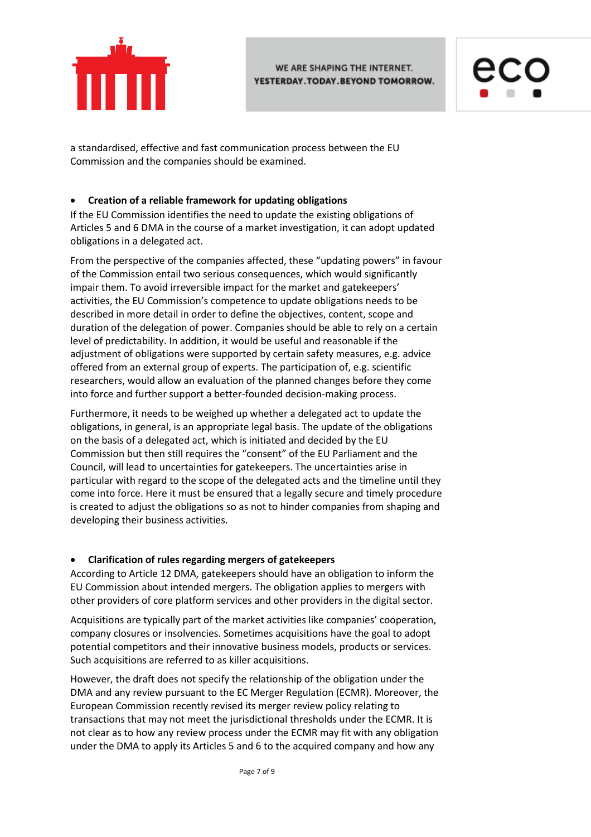



a standardised, effective and fast communication process between the EU Commission and the companies should be examined.

## **Creation of a reliable framework for updating obligations**

If the EU Commission identifies the need to update the existing obligations of Articles 5 and 6 DMA in the course of a market investigation, it can adopt updated obligations in a delegated act.

From the perspective of the companies affected, these "updating powers" in favour of the Commission entail two serious consequences, which would significantly impair them. To avoid irreversible impact for the market and gatekeepers' activities, the EU Commission's competence to update obligations needs to be described in more detail in order to define the objectives, content, scope and duration of the delegation of power. Companies should be able to rely on a certain level of predictability. In addition, it would be useful and reasonable if the adjustment of obligations were supported by certain safety measures, e.g. advice offered from an external group of experts. The participation of, e.g. scientific researchers, would allow an evaluation of the planned changes before they come into force and further support a better-founded decision-making process.

Furthermore, it needs to be weighed up whether a delegated act to update the obligations, in general, is an appropriate legal basis. The update of the obligations on the basis of a delegated act, which is initiated and decided by the EU Commission but then still requires the "consent" of the EU Parliament and the Council, will lead to uncertainties for gatekeepers. The uncertainties arise in particular with regard to the scope of the delegated acts and the timeline until they come into force. Here it must be ensured that a legally secure and timely procedure is created to adjust the obligations so as not to hinder companies from shaping and developing their business activities.

### **Clarification of rules regarding mergers of gatekeepers**

According to Article 12 DMA, gatekeepers should have an obligation to inform the EU Commission about intended mergers. The obligation applies to mergers with other providers of core platform services and other providers in the digital sector.

Acquisitions are typically part of the market activities like companies' cooperation, company closures or insolvencies. Sometimes acquisitions have the goal to adopt potential competitors and their innovative business models, products or services. Such acquisitions are referred to as killer acquisitions.

However, the draft does not specify the relationship of the obligation under the DMA and any review pursuant to the EC Merger Regulation (ECMR). Moreover, the European Commission recently revised its merger review policy relating to transactions that may not meet the jurisdictional thresholds under the ECMR. It is not clear as to how any review process under the ECMR may fit with any obligation under the DMA to apply its Articles 5 and 6 to the acquired company and how any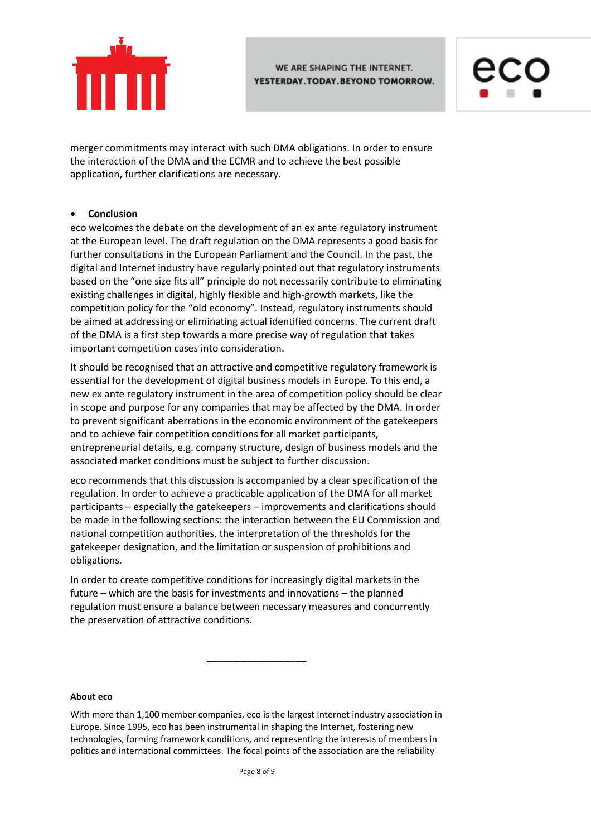



merger commitments may interact with such DMA obligations. In order to ensure the interaction of the DMA and the ECMR and to achieve the best possible application, further clarifications are necessary.

### **Conclusion**

eco welcomes the debate on the development of an ex ante regulatory instrument at the European level. The draft regulation on the DMA represents a good basis for further consultations in the European Parliament and the Council. In the past, the digital and Internet industry have regularly pointed out that regulatory instruments based on the "one size fits all" principle do not necessarily contribute to eliminating existing challenges in digital, highly flexible and high-growth markets, like the competition policy for the "old economy". Instead, regulatory instruments should be aimed at addressing or eliminating actual identified concerns. The current draft of the DMA is a first step towards a more precise way of regulation that takes important competition cases into consideration.

It should be recognised that an attractive and competitive regulatory framework is essential for the development of digital business models in Europe. To this end, a new ex ante regulatory instrument in the area of competition policy should be clear in scope and purpose for any companies that may be affected by the DMA. In order to prevent significant aberrations in the economic environment of the gatekeepers and to achieve fair competition conditions for all market participants, entrepreneurial details, e.g. company structure, design of business models and the associated market conditions must be subject to further discussion.

eco recommends that this discussion is accompanied by a clear specification of the regulation. In order to achieve a practicable application of the DMA for all market participants – especially the gatekeepers – improvements and clarifications should be made in the following sections: the interaction between the EU Commission and national competition authorities, the interpretation of the thresholds for the gatekeeper designation, and the limitation or suspension of prohibitions and obligations.

In order to create competitive conditions for increasingly digital markets in the future – which are the basis for investments and innovations – the planned regulation must ensure a balance between necessary measures and concurrently the preservation of attractive conditions.

#### **About eco**

With more than 1,100 member companies, eco is the largest Internet industry association in Europe. Since 1995, eco has been instrumental in shaping the Internet, fostering new technologies, forming framework conditions, and representing the interests of members in politics and international committees. The focal points of the association are the reliability

\_\_\_\_\_\_\_\_\_\_\_\_\_\_\_\_\_\_\_\_\_\_\_\_\_\_\_